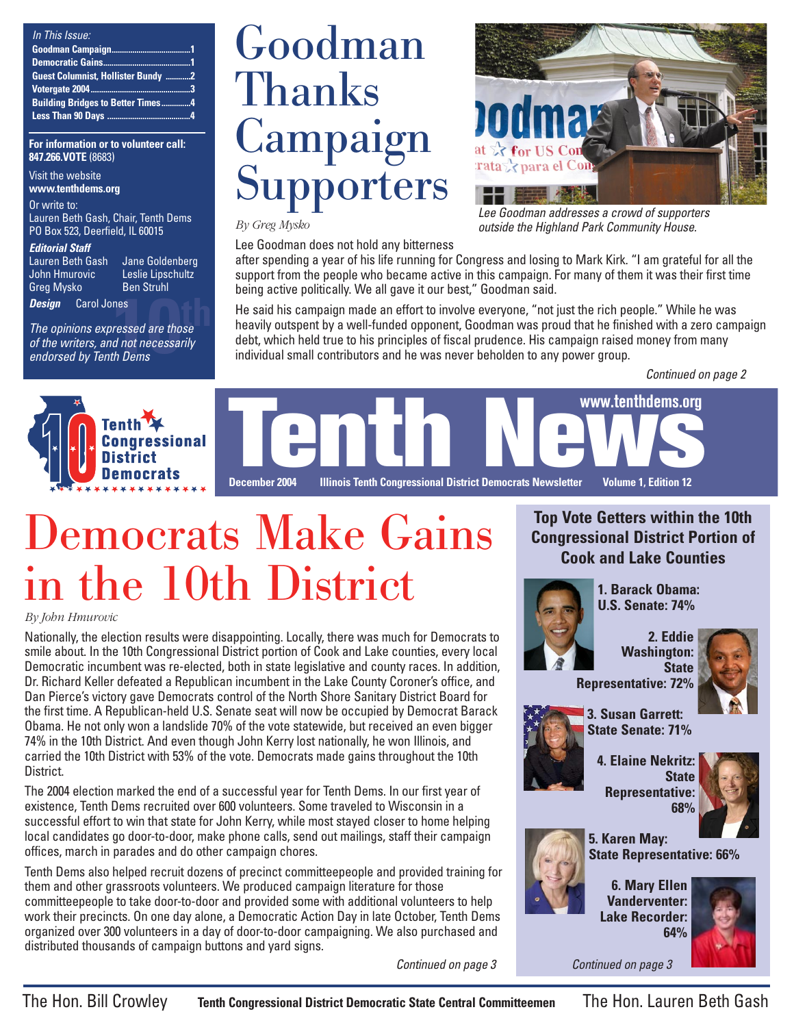| In This Issue:                            |  |
|-------------------------------------------|--|
|                                           |  |
|                                           |  |
| <b>Guest Columnist, Hollister Bundy 2</b> |  |
|                                           |  |
| <b>Building Bridges to Better Times4</b>  |  |
|                                           |  |

#### **For information or to volunteer call: 847.266.VOTE** (8683)

Visit the website **www.tenthdems.org** 

Or write to:

Lauren Beth Gash, Chair, Tenth Dems PO Box 523, Deerfield, IL 60015

#### **Editorial Staff**

Greg Mysko Ben Struhl

Lauren Beth Gash bane Goldenberg<br>John Hmurovic beslie Lipschultz Leslie Lipschultz

**Design** Carol Jones

nes<br>*ressed are those<br>d not necessarily<br>th Dems* The opinions expressed are those of the writers, and not necessarily endorsed by Tenth Dems

## Goodman Thanks **Campaign Supporters**

*By Greg Mysko*

Lee Goodman does not hold any bitterness



Lee Goodman addresses a crowd of supporters outside the Highland Park Community House.

after spending a year of his life running for Congress and losing to Mark Kirk. "I am grateful for all the support from the people who became active in this campaign. For many of them it was their first time being active politically. We all gave it our best," Goodman said.

He said his campaign made an effort to involve everyone, "not just the rich people." While he was heavily outspent by a well-funded opponent, Goodman was proud that he finished with a zero campaign debt, which held true to his principles of fiscal prudence. His campaign raised money from many individual small contributors and he was never beholden to any power group.

Continued on page 2





## Democrats Make Gains in the 10th District

### *By John Hmurovic*

Nationally, the election results were disappointing. Locally, there was much for Democrats to smile about. In the 10th Congressional District portion of Cook and Lake counties, every local Democratic incumbent was re-elected, both in state legislative and county races. In addition, Dr. Richard Keller defeated a Republican incumbent in the Lake County Coroner's office, and Dan Pierce's victory gave Democrats control of the North Shore Sanitary District Board for the first time. A Republican-held U.S. Senate seat will now be occupied by Democrat Barack Obama. He not only won a landslide 70% of the vote statewide, but received an even bigger 74% in the 10th District. And even though John Kerry lost nationally, he won Illinois, and carried the 10th District with 53% of the vote. Democrats made gains throughout the 10th District.

The 2004 election marked the end of a successful year for Tenth Dems. In our first year of existence, Tenth Dems recruited over 600 volunteers. Some traveled to Wisconsin in a successful effort to win that state for John Kerry, while most stayed closer to home helping local candidates go door-to-door, make phone calls, send out mailings, staff their campaign offices, march in parades and do other campaign chores.

Tenth Dems also helped recruit dozens of precinct committeepeople and provided training for them and other grassroots volunteers. We produced campaign literature for those committeepeople to take door-to-door and provided some with additional volunteers to help work their precincts. On one day alone, a Democratic Action Day in late October, Tenth Dems organized over 300 volunteers in a day of door-to-door campaigning. We also purchased and distributed thousands of campaign buttons and yard signs.

Continued on page 3

### **Top Vote Getters within the 10th Congressional District Portion of Cook and Lake Counties**



**1. Barack Obama: U.S. Senate: 74%**

> **2. Eddie Washington: State**



**Representative: 72%**

**3. Susan Garrett: State Senate: 71%**

**4. Elaine Nekritz: State Representative: 68%**



**5. Karen May: State Representative: 66%**

**6. Mary Ellen Vanderventer: Lake Recorder: 64%**

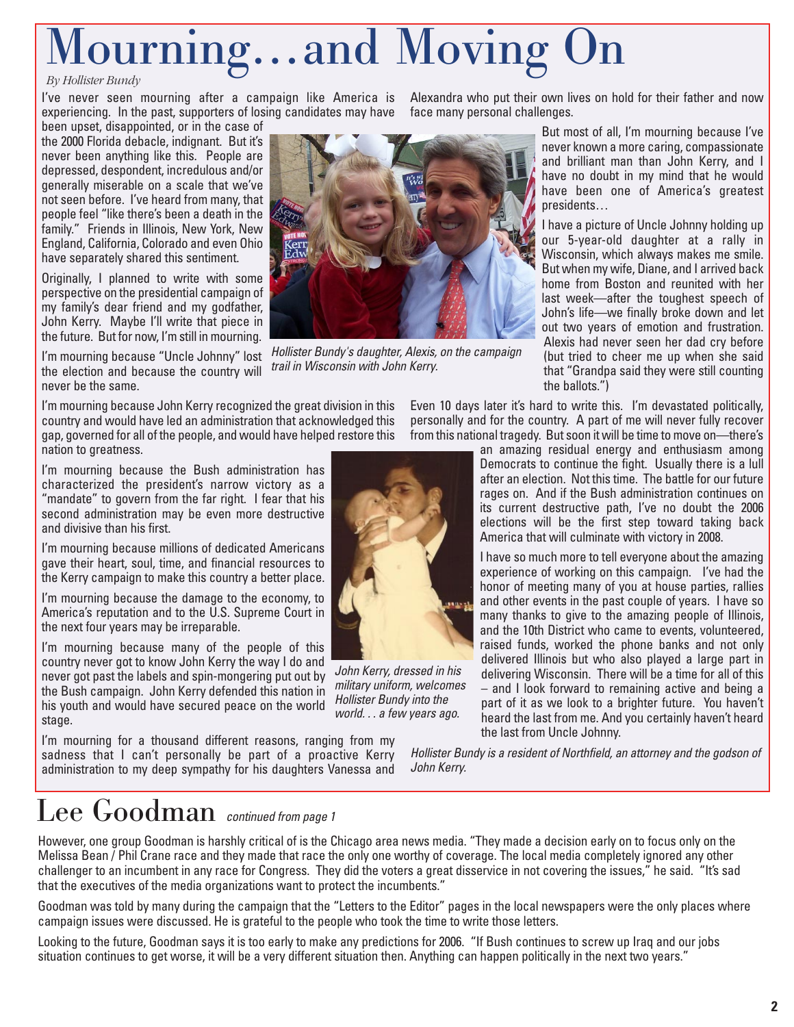# Mourning…and Moving

experiencing. In the past, supporters of losing candidates may have face many personal challenges.

been upset, disappointed, or in the case of the 2000 Florida debacle, indignant. But it's never been anything like this. People are depressed, despondent, incredulous and/or generally miserable on a scale that we've not seen before. I've heard from many, that people feel "like there's been a death in the family." Friends in Illinois, New York, New England, California, Colorado and even Ohio have separately shared this sentiment.

Originally, I planned to write with some perspective on the presidential campaign of my family's dear friend and my godfather, John Kerry. Maybe I'll write that piece in the future. But for now, I'm still in mourning.

I'm mourning because "Uncle Johnny" lost the election and because the country will never be the same.

I'm mourning because John Kerry recognized the great division in this country and would have led an administration that acknowledged this gap, governed for all of the people, and would have helped restore this nation to greatness.

I'm mourning because the Bush administration has characterized the president's narrow victory as a "mandate" to govern from the far right. I fear that his second administration may be even more destructive and divisive than his first.

I'm mourning because millions of dedicated Americans gave their heart, soul, time, and financial resources to the Kerry campaign to make this country a better place.

I'm mourning because the damage to the economy, to America's reputation and to the U.S. Supreme Court in the next four years may be irreparable.

I'm mourning because many of the people of this country never got to know John Kerry the way I do and never got past the labels and spin-mongering put out by the Bush campaign. John Kerry defended this nation in his youth and would have secured peace on the world stage.

I'm mourning for a thousand different reasons, ranging from my sadness that I can't personally be part of a proactive Kerry administration to my deep sympathy for his daughters Vanessa and

I've never seen mourning after a campaign like America is Alexandrawhoputtheirownlives onholdfortheirfatherandnow



Hollister Bundy's daughter, Alexis, on the campaign trail in Wisconsin with John Kerry.

But most of all, I'm mourning because I've never known a more caring, compassionate and brilliant man than John Kerry, and I have no doubt in my mind that he would have been one of America's greatest presidents…

I have a picture of Uncle Johnny holding up our 5-year-old daughter at a rally in Wisconsin, which always makes me smile. But when my wife, Diane, and I arrived back home from Boston and reunited with her last week—after the toughest speech of John's life—we finally broke down and let out two years of emotion and frustration. Alexis had never seen her dad cry before (but tried to cheer me up when she said that "Grandpa said they were still counting the ballots.")

Even 10 days later it's hard to write this. I'm devastated politically, personally and for the country. A part of me will never fully recover from this national tragedy. But soon it will be time to move on—there's

> an amazing residual energy and enthusiasm among Democrats to continue the fight. Usually there is a lull after an election. Not this time. The battle for our future rages on. And if the Bush administration continues on its current destructive path, I've no doubt the 2006 elections will be the first step toward taking back America that will culminate with victory in 2008.

> I have so much more to tell everyone about the amazing experience of working on this campaign. I've had the honor of meeting many of you at house parties, rallies and other events in the past couple of years. I have so many thanks to give to the amazing people of Illinois, and the 10th District who came to events, volunteered, raised funds, worked the phone banks and not only delivered Illinois but who also played a large part in delivering Wisconsin. There will be a time for all of this – and I look forward to remaining active and being a part of it as we look to a brighter future. You haven't heard the last from me. And you certainly haven't heard the last from Uncle Johnny.

Hollister Bundy is a resident of Northfield, an attorney and the godson of John Kerry.

### Lee Goodman continued from page 1

However, one group Goodman is harshly critical of is the Chicago area news media. "They made a decision early on to focus only on the Melissa Bean / Phil Crane race and they made that race the only one worthy of coverage. The local media completely ignored any other challenger to an incumbent in any race for Congress. They did the voters a great disservice in not covering the issues," he said. "It's sad that the executives of the media organizations want to protect the incumbents."

Goodman was told by many during the campaign that the "Letters to the Editor" pages in the local newspapers were the only places where campaign issues were discussed. He is grateful to the people who took the time to write those letters.

Looking to the future, Goodman says it is too early to make any predictions for 2006. "If Bush continues to screw up Iraq and our jobs situation continues to get worse, it will be a very different situation then. Anything can happen politically in the next two years."



John Kerry, dressed in his military uniform, welcomes Hollister Bundy into the world. . . a few years ago.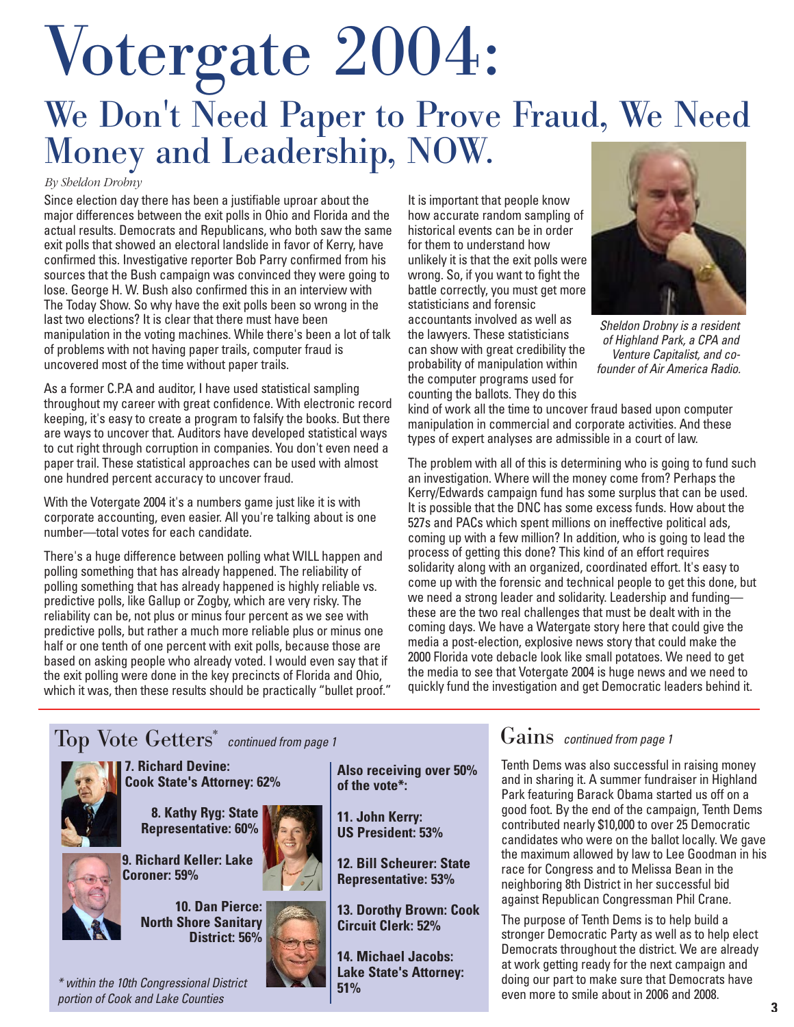## Votergate 2004: We Don't Need Paper to Prove Fraud, We Need Money and Leadership, NOW.

#### *By Sheldon Drobny*

Since election day there has been a justifiable uproar about the major differences between the exit polls in Ohio and Florida and the actual results. Democrats and Republicans, who both saw the same exit polls that showed an electoral landslide in favor of Kerry, have confirmed this. Investigative reporter Bob Parry confirmed from his sources that the Bush campaign was convinced they were going to lose. George H. W. Bush also confirmed this in an interview with The Today Show. So why have the exit polls been so wrong in the last two elections? It is clear that there must have been manipulation in the voting machines. While there's been a lot of talk of problems with not having paper trails, computer fraud is uncovered most of the time without paper trails.

As a former C.P.A and auditor, I have used statistical sampling throughout my career with great confidence. With electronic record keeping, it's easy to create a program to falsify the books. But there are ways to uncover that. Auditors have developed statistical ways to cut right through corruption in companies. You don't even need a paper trail. These statistical approaches can be used with almost one hundred percent accuracy to uncover fraud.

With the Votergate 2004 it's a numbers game just like it is with corporate accounting, even easier. All you're talking about is one number—total votes for each candidate.

There's a huge difference between polling what WILL happen and polling something that has already happened. The reliability of polling something that has already happened is highly reliable vs. predictive polls, like Gallup or Zogby, which are very risky. The reliability can be, not plus or minus four percent as we see with predictive polls, but rather a much more reliable plus or minus one half or one tenth of one percent with exit polls, because those are based on asking people who already voted. I would even say that if the exit polling were done in the key precincts of Florida and Ohio, which it was, then these results should be practically "bullet proof." It is important that people know how accurate random sampling of historical events can be in order for them to understand how unlikely it is that the exit polls were wrong. So, if you want to fight the battle correctly, you must get more statisticians and forensic accountants involved as well as the lawyers. These statisticians can show with great credibility the probability of manipulation within the computer programs used for counting the ballots. They do this



Sheldon Drobny is a resident of Highland Park, a CPA and Venture Capitalist, and cofounder of Air America Radio.

kind of work all the time to uncover fraud based upon computer manipulation in commercial and corporate activities. And these types of expert analyses are admissible in a court of law.

The problem with all of this is determining who is going to fund such an investigation. Where will the money come from? Perhaps the Kerry/Edwards campaign fund has some surplus that can be used. It is possible that the DNC has some excess funds. How about the 527s and PACs which spent millions on ineffective political ads, coming up with a few million? In addition, who is going to lead the process of getting this done? This kind of an effort requires solidarity along with an organized, coordinated effort. It's easy to come up with the forensic and technical people to get this done, but we need a strong leader and solidarity. Leadership and funding these are the two real challenges that must be dealt with in the coming days. We have a Watergate story here that could give the media a post-election, explosive news story that could make the 2000 Florida vote debacle look like small potatoes. We need to get the media to see that Votergate 2004 is huge news and we need to quickly fund the investigation and get Democratic leaders behind it.



### Gains continued from page 1

Tenth Dems was also successful in raising money and in sharing it. A summer fundraiser in Highland Park featuring Barack Obama started us off on a good foot. By the end of the campaign, Tenth Dems contributed nearly \$10,000 to over 25 Democratic candidates who were on the ballot locally. We gave the maximum allowed by law to Lee Goodman in his race for Congress and to Melissa Bean in the neighboring 8th District in her successful bid against Republican Congressman Phil Crane.

The purpose of Tenth Dems is to help build a stronger Democratic Party as well as to help elect Democrats throughout the district. We are already at work getting ready for the next campaign and doing our part to make sure that Democrats have even more to smile about in 2006 and 2008.